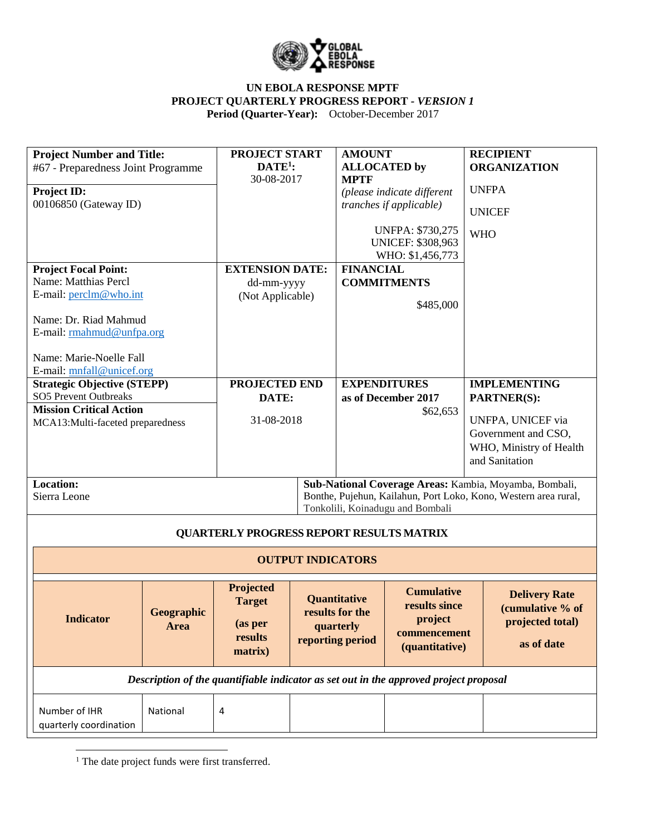

| <b>Project Number and Title:</b>                                   |            | <b>PROJECT START</b>                            |                           | <b>AMOUNT</b>                                                                         |                                    |                         | <b>RECIPIENT</b>                                                |
|--------------------------------------------------------------------|------------|-------------------------------------------------|---------------------------|---------------------------------------------------------------------------------------|------------------------------------|-------------------------|-----------------------------------------------------------------|
| #67 - Preparedness Joint Programme                                 |            | $DATE1$ :                                       |                           |                                                                                       | <b>ALLOCATED by</b>                |                         | <b>ORGANIZATION</b>                                             |
|                                                                    |            |                                                 | 30-08-2017<br><b>MPTF</b> |                                                                                       |                                    |                         | <b>UNFPA</b>                                                    |
| <b>Project ID:</b>                                                 |            |                                                 |                           |                                                                                       | (please indicate different         |                         |                                                                 |
| 00106850 (Gateway ID)                                              |            |                                                 |                           |                                                                                       | tranches if applicable)            |                         | <b>UNICEF</b>                                                   |
|                                                                    |            |                                                 |                           |                                                                                       | <b>UNFPA: \$730,275</b>            | <b>WHO</b>              |                                                                 |
|                                                                    |            |                                                 | <b>UNICEF: \$308,963</b>  |                                                                                       |                                    |                         |                                                                 |
|                                                                    |            |                                                 |                           |                                                                                       | WHO: \$1,456,773                   |                         |                                                                 |
| <b>Project Focal Point:</b><br>Name: Matthias Percl                |            | <b>EXTENSION DATE:</b>                          |                           | <b>FINANCIAL</b>                                                                      |                                    |                         |                                                                 |
| E-mail: perclm@who.int                                             |            | dd-mm-yyyy                                      |                           |                                                                                       | <b>COMMITMENTS</b>                 |                         |                                                                 |
|                                                                    |            | (Not Applicable)                                |                           |                                                                                       | \$485,000                          |                         |                                                                 |
| Name: Dr. Riad Mahmud                                              |            |                                                 |                           |                                                                                       |                                    |                         |                                                                 |
| E-mail: rmahmud@unfpa.org                                          |            |                                                 |                           |                                                                                       |                                    |                         |                                                                 |
|                                                                    |            |                                                 |                           |                                                                                       |                                    |                         |                                                                 |
| Name: Marie-Noelle Fall                                            |            |                                                 |                           |                                                                                       |                                    |                         |                                                                 |
| E-mail: mnfall@unicef.org                                          |            |                                                 |                           |                                                                                       |                                    |                         |                                                                 |
| <b>Strategic Objective (STEPP)</b><br><b>SO5 Prevent Outbreaks</b> |            | PROJECTED END                                   |                           | <b>EXPENDITURES</b>                                                                   |                                    |                         | <b>IMPLEMENTING</b><br>PARTNER(S):                              |
| <b>Mission Critical Action</b>                                     |            | DATE:                                           |                           | as of December 2017<br>\$62,653                                                       |                                    |                         |                                                                 |
| MCA13:Multi-faceted preparedness                                   |            |                                                 | 31-08-2018                |                                                                                       |                                    | UNFPA, UNICEF via       |                                                                 |
|                                                                    |            |                                                 |                           |                                                                                       |                                    |                         | Government and CSO,                                             |
|                                                                    |            |                                                 |                           |                                                                                       |                                    | WHO, Ministry of Health |                                                                 |
|                                                                    |            |                                                 |                           |                                                                                       |                                    |                         | and Sanitation                                                  |
| Location:                                                          |            |                                                 |                           |                                                                                       |                                    |                         | Sub-National Coverage Areas: Kambia, Moyamba, Bombali,          |
| Sierra Leone                                                       |            |                                                 |                           |                                                                                       |                                    |                         | Bonthe, Pujehun, Kailahun, Port Loko, Kono, Western area rural, |
|                                                                    |            |                                                 |                           |                                                                                       | Tonkolili, Koinadugu and Bombali   |                         |                                                                 |
|                                                                    |            | <b>QUARTERLY PROGRESS REPORT RESULTS MATRIX</b> |                           |                                                                                       |                                    |                         |                                                                 |
|                                                                    |            |                                                 |                           |                                                                                       |                                    |                         |                                                                 |
|                                                                    |            |                                                 | <b>OUTPUT INDICATORS</b>  |                                                                                       |                                    |                         |                                                                 |
|                                                                    |            | Projected                                       |                           |                                                                                       |                                    |                         |                                                                 |
|                                                                    |            | <b>Target</b>                                   |                           | Quantitative                                                                          | <b>Cumulative</b><br>results since |                         | <b>Delivery Rate</b>                                            |
| <b>Indicator</b>                                                   | Geographic |                                                 |                           | results for the                                                                       | project                            |                         | (cumulative % of                                                |
|                                                                    | Area       | (as per                                         |                           | quarterly                                                                             | commencement                       |                         | projected total)                                                |
|                                                                    |            | results                                         |                           | reporting period                                                                      | (quantitative)                     |                         | as of date                                                      |
|                                                                    |            | matrix)                                         |                           |                                                                                       |                                    |                         |                                                                 |
|                                                                    |            |                                                 |                           | Description of the quantifiable indicator as set out in the approved project proposal |                                    |                         |                                                                 |
|                                                                    |            |                                                 |                           |                                                                                       |                                    |                         |                                                                 |
| Number of IHR                                                      | National   | $\overline{4}$                                  |                           |                                                                                       |                                    |                         |                                                                 |
| quarterly coordination                                             |            |                                                 |                           |                                                                                       |                                    |                         |                                                                 |

 $\overline{\phantom{a}}$ <sup>1</sup> The date project funds were first transferred.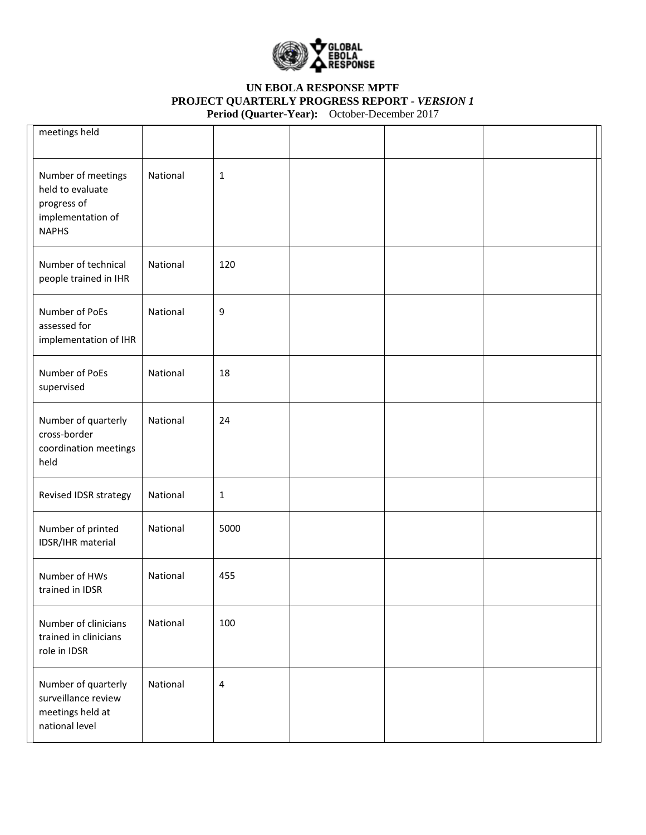

| meetings held                                                                              |          |              |  |  |
|--------------------------------------------------------------------------------------------|----------|--------------|--|--|
| Number of meetings<br>held to evaluate<br>progress of<br>implementation of<br><b>NAPHS</b> | National | $\mathbf{1}$ |  |  |
| Number of technical<br>people trained in IHR                                               | National | 120          |  |  |
| Number of PoEs<br>assessed for<br>implementation of IHR                                    | National | 9            |  |  |
| Number of PoEs<br>supervised                                                               | National | 18           |  |  |
| Number of quarterly<br>cross-border<br>coordination meetings<br>held                       | National | 24           |  |  |
| Revised IDSR strategy                                                                      | National | $\mathbf{1}$ |  |  |
| Number of printed<br>IDSR/IHR material                                                     | National | 5000         |  |  |
| Number of HWs<br>trained in IDSR                                                           | National | 455          |  |  |
| Number of clinicians<br>trained in clinicians<br>role in IDSR                              | National | 100          |  |  |
| Number of quarterly<br>surveillance review<br>meetings held at<br>national level           | National | 4            |  |  |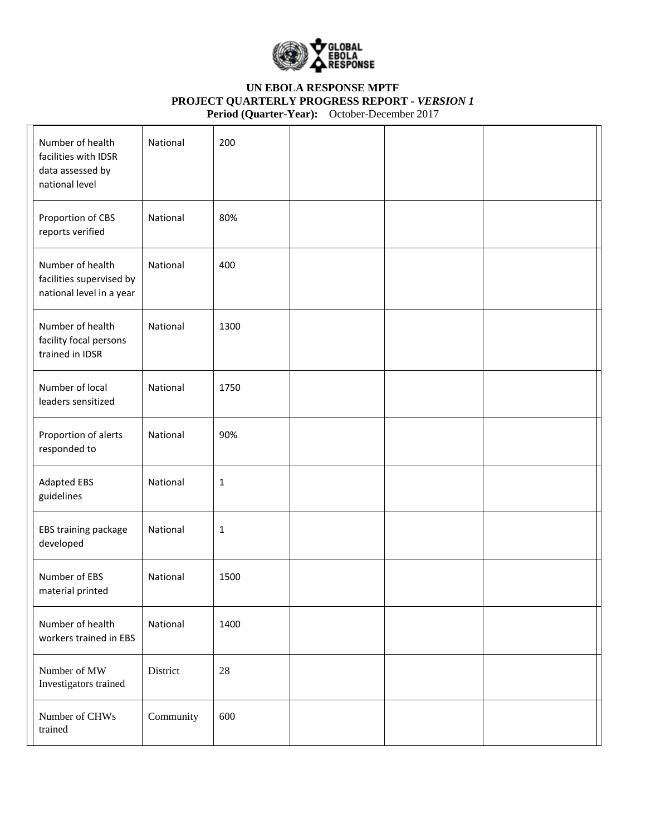

| Number of health<br>facilities with IDSR<br>data assessed by<br>national level | National  | 200          |  |  |
|--------------------------------------------------------------------------------|-----------|--------------|--|--|
| Proportion of CBS<br>reports verified                                          | National  | 80%          |  |  |
| Number of health<br>facilities supervised by<br>national level in a year       | National  | 400          |  |  |
| Number of health<br>facility focal persons<br>trained in IDSR                  | National  | 1300         |  |  |
| Number of local<br>leaders sensitized                                          | National  | 1750         |  |  |
| Proportion of alerts<br>responded to                                           | National  | 90%          |  |  |
| <b>Adapted EBS</b><br>guidelines                                               | National  | $\mathbf{1}$ |  |  |
| EBS training package<br>developed                                              | National  | $\mathbf{1}$ |  |  |
| Number of EBS<br>material printed                                              | National  | 1500         |  |  |
| Number of health<br>workers trained in EBS                                     | National  | 1400         |  |  |
| Number of MW<br>Investigators trained                                          | District  | $28\,$       |  |  |
| Number of CHWs<br>trained                                                      | Community | 600          |  |  |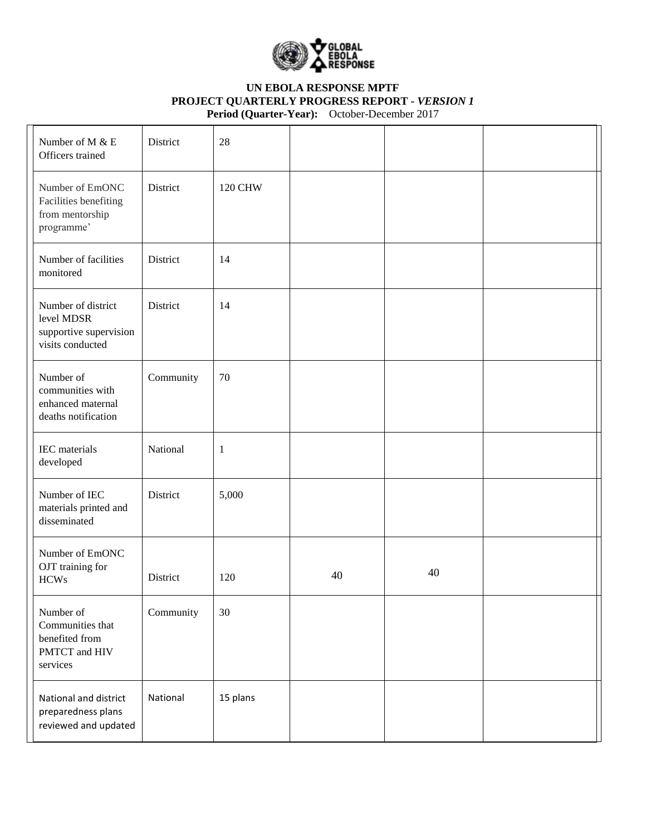

| Number of M & E<br>Officers trained                                            | District  | 28             |    |    |  |
|--------------------------------------------------------------------------------|-----------|----------------|----|----|--|
| Number of EmONC<br>Facilities benefiting<br>from mentorship<br>programme'      | District  | <b>120 CHW</b> |    |    |  |
| Number of facilities<br>monitored                                              | District  | 14             |    |    |  |
| Number of district<br>level MDSR<br>supportive supervision<br>visits conducted | District  | 14             |    |    |  |
| Number of<br>communities with<br>enhanced maternal<br>deaths notification      | Community | 70             |    |    |  |
| IEC materials<br>developed                                                     | National  | $\mathbf{1}$   |    |    |  |
| Number of IEC<br>materials printed and<br>disseminated                         | District  | 5,000          |    |    |  |
| Number of EmONC<br>OJT training for<br><b>HCWs</b>                             | District  | 120            | 40 | 40 |  |
| Number of<br>Communities that<br>benefited from<br>PMTCT and HIV<br>services   | Community | 30             |    |    |  |
| National and district<br>preparedness plans<br>reviewed and updated            | National  | 15 plans       |    |    |  |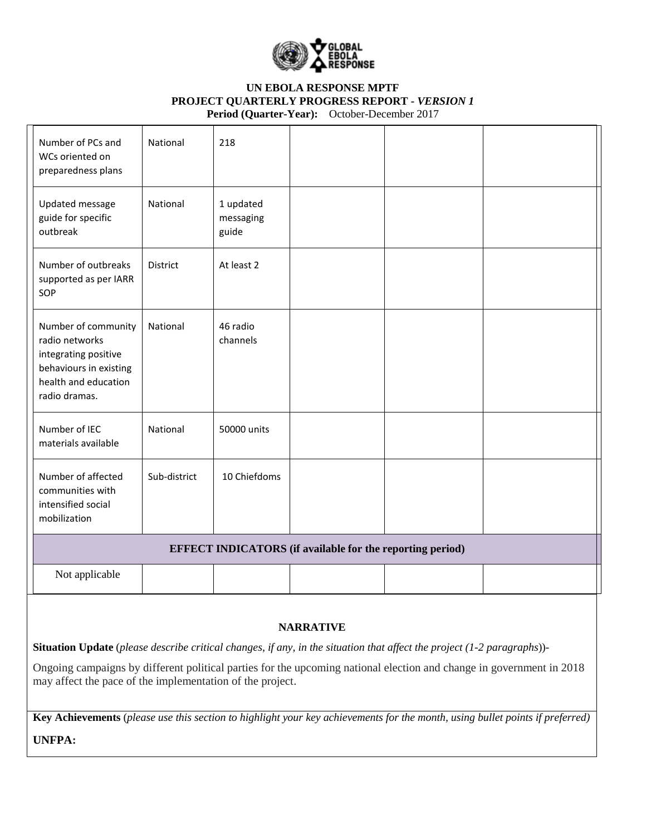

| Number of PCs and<br>WCs oriented on<br>preparedness plans                                                                       | National        | 218                             |                                                                  |  |
|----------------------------------------------------------------------------------------------------------------------------------|-----------------|---------------------------------|------------------------------------------------------------------|--|
| Updated message<br>guide for specific<br>outbreak                                                                                | National        | 1 updated<br>messaging<br>guide |                                                                  |  |
| Number of outbreaks<br>supported as per IARR<br>SOP                                                                              | <b>District</b> | At least 2                      |                                                                  |  |
| Number of community<br>radio networks<br>integrating positive<br>behaviours in existing<br>health and education<br>radio dramas. | National        | 46 radio<br>channels            |                                                                  |  |
| Number of IEC<br>materials available                                                                                             | National        | 50000 units                     |                                                                  |  |
| Number of affected<br>communities with<br>intensified social<br>mobilization                                                     | Sub-district    | 10 Chiefdoms                    |                                                                  |  |
|                                                                                                                                  |                 |                                 | <b>EFFECT INDICATORS</b> (if available for the reporting period) |  |
| Not applicable                                                                                                                   |                 |                                 |                                                                  |  |

### **NARRATIVE**

**Situation Update** (*please describe critical changes, if any, in the situation that affect the project (1-2 paragraphs*))-

Ongoing campaigns by different political parties for the upcoming national election and change in government in 2018 may affect the pace of the implementation of the project.

**Key Achievements** (*please use this section to highlight your key achievements for the month, using bullet points if preferred)* **UNFPA:**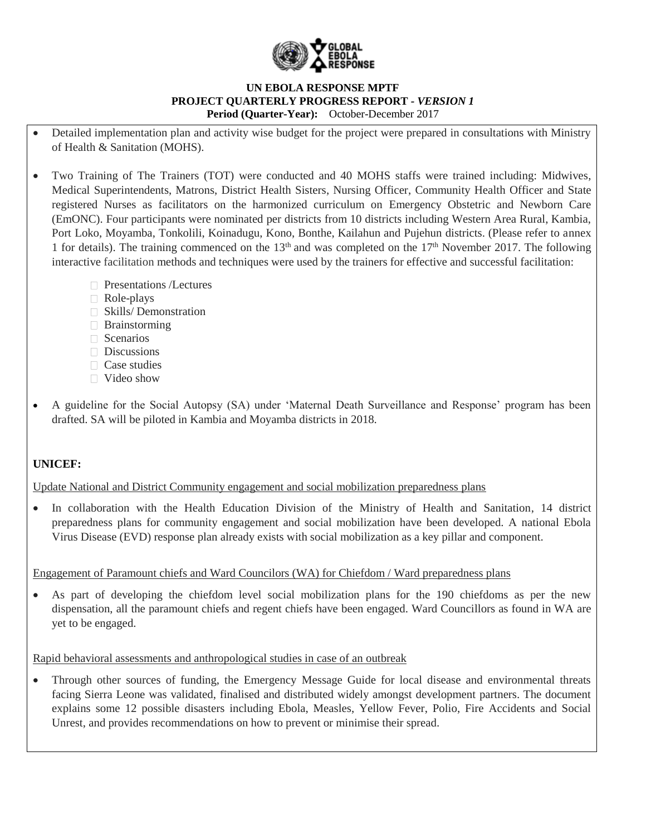

- Detailed implementation plan and activity wise budget for the project were prepared in consultations with Ministry of Health & Sanitation (MOHS).
- Two Training of The Trainers (TOT) were conducted and 40 MOHS staffs were trained including: Midwives, Medical Superintendents, Matrons, District Health Sisters, Nursing Officer, Community Health Officer and State registered Nurses as facilitators on the harmonized curriculum on Emergency Obstetric and Newborn Care (EmONC). Four participants were nominated per districts from 10 districts including Western Area Rural, Kambia, Port Loko, Moyamba, Tonkolili, Koinadugu, Kono, Bonthe, Kailahun and Pujehun districts. (Please refer to annex 1 for details). The training commenced on the  $13<sup>th</sup>$  and was completed on the  $17<sup>th</sup>$  November 2017. The following interactive facilitation methods and techniques were used by the trainers for effective and successful facilitation:
	- **Presentations /Lectures**
	- Role-plays
	- Skills/ Demonstration
	- **Brainstorming**
	- Scenarios
	- Discussions
	- $\Box$  Case studies
	- $\Box$  Video show
- A guideline for the Social Autopsy (SA) under 'Maternal Death Surveillance and Response' program has been drafted. SA will be piloted in Kambia and Moyamba districts in 2018.

# **UNICEF:**

Update National and District Community engagement and social mobilization preparedness plans

 In collaboration with the Health Education Division of the Ministry of Health and Sanitation, 14 district preparedness plans for community engagement and social mobilization have been developed. A national Ebola Virus Disease (EVD) response plan already exists with social mobilization as a key pillar and component.

## Engagement of Paramount chiefs and Ward Councilors (WA) for Chiefdom / Ward preparedness plans

 As part of developing the chiefdom level social mobilization plans for the 190 chiefdoms as per the new dispensation, all the paramount chiefs and regent chiefs have been engaged. Ward Councillors as found in WA are yet to be engaged.

Rapid behavioral assessments and anthropological studies in case of an outbreak

 Through other sources of funding, the Emergency Message Guide for local disease and environmental threats facing Sierra Leone was validated, finalised and distributed widely amongst development partners. The document explains some 12 possible disasters including Ebola, Measles, Yellow Fever, Polio, Fire Accidents and Social Unrest, and provides recommendations on how to prevent or minimise their spread.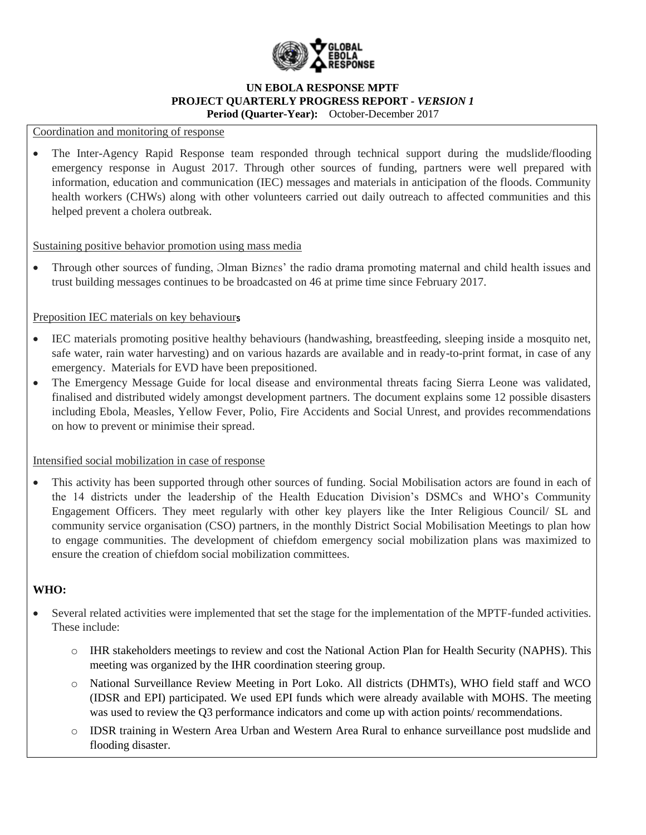

#### Coordination and monitoring of response

 The Inter-Agency Rapid Response team responded through technical support during the mudslide/flooding emergency response in August 2017. Through other sources of funding, partners were well prepared with information, education and communication (IEC) messages and materials in anticipation of the floods. Community health workers (CHWs) along with other volunteers carried out daily outreach to affected communities and this helped prevent a cholera outbreak.

### Sustaining positive behavior promotion using mass media

Through other sources of funding,  $O$ lman Biznes' the radio drama promoting maternal and child health issues and trust building messages continues to be broadcasted on 46 at prime time since February 2017.

### Preposition IEC materials on key behaviours

- IEC materials promoting positive healthy behaviours (handwashing, breastfeeding, sleeping inside a mosquito net, safe water, rain water harvesting) and on various hazards are available and in ready-to-print format, in case of any emergency. Materials for EVD have been prepositioned.
- The Emergency Message Guide for local disease and environmental threats facing Sierra Leone was validated, finalised and distributed widely amongst development partners. The document explains some 12 possible disasters including Ebola, Measles, Yellow Fever, Polio, Fire Accidents and Social Unrest, and provides recommendations on how to prevent or minimise their spread.

### Intensified social mobilization in case of response

 This activity has been supported through other sources of funding. Social Mobilisation actors are found in each of the 14 districts under the leadership of the Health Education Division's DSMCs and WHO's Community Engagement Officers. They meet regularly with other key players like the Inter Religious Council/ SL and community service organisation (CSO) partners, in the monthly District Social Mobilisation Meetings to plan how to engage communities. The development of chiefdom emergency social mobilization plans was maximized to ensure the creation of chiefdom social mobilization committees.

# **WHO:**

- Several related activities were implemented that set the stage for the implementation of the MPTF-funded activities. These include:
	- o IHR stakeholders meetings to review and cost the National Action Plan for Health Security (NAPHS). This meeting was organized by the IHR coordination steering group.
	- o National Surveillance Review Meeting in Port Loko. All districts (DHMTs), WHO field staff and WCO (IDSR and EPI) participated. We used EPI funds which were already available with MOHS. The meeting was used to review the Q3 performance indicators and come up with action points/ recommendations.
	- o IDSR training in Western Area Urban and Western Area Rural to enhance surveillance post mudslide and flooding disaster.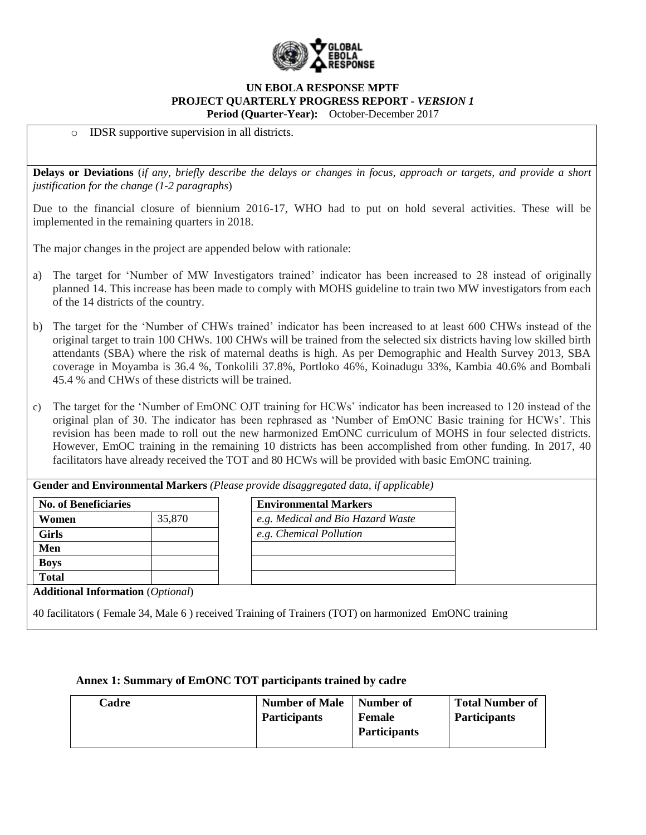

IDSR supportive supervision in all districts.

**Delays or Deviations** (*if any, briefly describe the delays or changes in focus, approach or targets, and provide a short justification for the change (1-2 paragraphs*)

Due to the financial closure of biennium 2016-17, WHO had to put on hold several activities. These will be implemented in the remaining quarters in 2018.

The major changes in the project are appended below with rationale:

- a) The target for 'Number of MW Investigators trained' indicator has been increased to 28 instead of originally planned 14. This increase has been made to comply with MOHS guideline to train two MW investigators from each of the 14 districts of the country.
- b) The target for the 'Number of CHWs trained' indicator has been increased to at least 600 CHWs instead of the original target to train 100 CHWs. 100 CHWs will be trained from the selected six districts having low skilled birth attendants (SBA) where the risk of maternal deaths is high. As per Demographic and Health Survey 2013, SBA coverage in Moyamba is 36.4 %, Tonkolili 37.8%, Portloko 46%, Koinadugu 33%, Kambia 40.6% and Bombali 45.4 % and CHWs of these districts will be trained.
- c) The target for the 'Number of EmONC OJT training for HCWs' indicator has been increased to 120 instead of the original plan of 30. The indicator has been rephrased as 'Number of EmONC Basic training for HCWs'. This revision has been made to roll out the new harmonized EmONC curriculum of MOHS in four selected districts. However, EmOC training in the remaining 10 districts has been accomplished from other funding. In 2017, 40 facilitators have already received the TOT and 80 HCWs will be provided with basic EmONC training.

| <b>No. of Beneficiaries</b> |                                                   | <b>Environmental Markers</b>      |  |
|-----------------------------|---------------------------------------------------|-----------------------------------|--|
| Women                       | 35,870                                            | e.g. Medical and Bio Hazard Waste |  |
| <b>Girls</b>                |                                                   | e.g. Chemical Pollution           |  |
| Men                         |                                                   |                                   |  |
| <b>Boys</b>                 |                                                   |                                   |  |
| <b>Total</b>                |                                                   |                                   |  |
|                             | <b>Additional Information</b> ( <i>Optional</i> ) |                                   |  |

|  | Annex 1: Summary of EmONC TOT participants trained by cadre |  |
|--|-------------------------------------------------------------|--|
|  |                                                             |  |

| Cadre | <b>Number of Male</b> | Number of           | <b>Total Number of</b> |
|-------|-----------------------|---------------------|------------------------|
|       | <b>Participants</b>   | <b>Female</b>       | <b>Participants</b>    |
|       |                       | <b>Participants</b> |                        |
|       |                       |                     |                        |